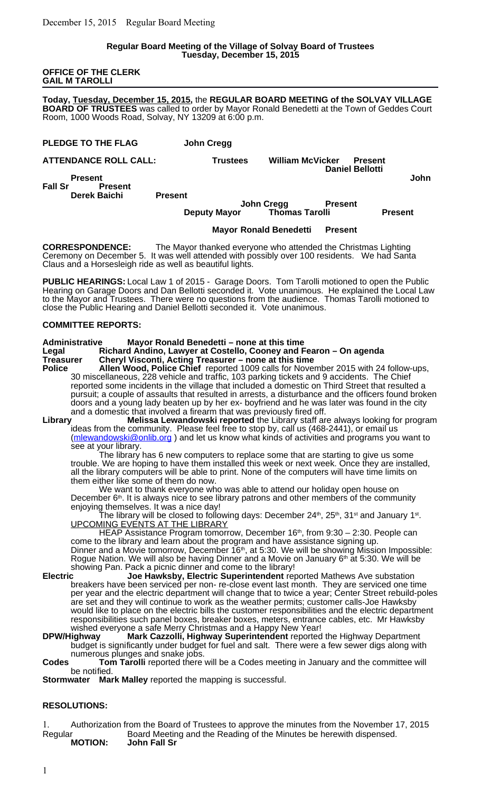#### **Regular Board Meeting of the Village of Solvay Board of Trustees Tuesday, December 15, 2015**

**OFFICE OF THE CLERK GAIL M TAROLLI**

**Today, Tuesday, December 15, 2015,** the **REGULAR BOARD MEETING of the SOLVAY VILLAGE BOARD OF TRUSTEES** was called to order by Mayor Ronald Benedetti at the Town of Geddes Court Room, 1000 Woods Road, Solvay, NY 13209 at 6:00 p.m.

| PLEDGE TO THE FLAG | <b>John Cregg</b> |
|--------------------|-------------------|
|                    |                   |

| <b>ATTENDANCE ROLL CALL:</b>     |                | Trustees | <b>William McVicker</b> | Present                |      |
|----------------------------------|----------------|----------|-------------------------|------------------------|------|
| <b>Present</b><br><b>Fall Sr</b> | <b>Present</b> |          |                         | <b>Daniel Bellotti</b> | John |

**Derek Baichi Present**

# **Letter School**<br>Deputy Mayor Thomas Tarolli **Deputy Mayor Thomas Tarolli Present**

# **Mayor Ronald Benedetti Present**

**CORRESPONDENCE:** The Mayor thanked everyone who attended the Christmas Lighting Ceremony on December 5. It was well attended with possibly over 100 residents. We had Santa Claus and a Horsesleigh ride as well as beautiful lights.

**PUBLIC HEARINGS:** Local Law 1 of 2015 - Garage Doors. Tom Tarolli motioned to open the Public Hearing on Garage Doors and Dan Bellotti seconded it. Vote unanimous. He explained the Local Law to the Mayor and Trustees. There were no questions from the audience. Thomas Tarolli motioned to close the Public Hearing and Daniel Bellotti seconded it. Vote unanimous.

# **COMMITTEE REPORTS:**

#### **Administrative Mayor Ronald Benedetti – none at this time**

**Legal Richard Andino, Lawyer at Costello, Cooney and Fearon – On agenda Treasurer Cheryl Visconti, Acting Treasurer – none at this time**

**Police Allen Wood, Police Chief** reported 1009 calls for November 2015 with 24 follow-ups, 30 miscellaneous, 228 vehicle and traffic, 103 parking tickets and 9 accidents. The Chief reported some incidents in the village that included a domestic on Third Street that resulted a pursuit; a couple of assaults that resulted in arrests, a disturbance and the officers found broken doors and a young lady beaten up by her ex- boyfriend and he was later was found in the city and a domestic that involved a firearm that was previously fired off.

**Library Melissa Lewandowski reported** the Library staff are always looking for program ideas from the community. Please feel free to stop by, call us (468-2441), or email us (mlewandowski@onlib.org) and let us know what kinds of activities and programs you want to see at your library.

The library has 6 new computers to replace some that are starting to give us some trouble. We are hoping to have them installed this week or next week. Once they are installed, all the library computers will be able to print. None of the computers will have time limits on them either like some of them do now.

We want to thank everyone who was able to attend our holiday open house on December 6<sup>th</sup>. It is always nice to see library patrons and other members of the community enjoying themselves. It was a nice day!

The library will be closed to following days: December 24th, 25th, 31st and January 1st. UPCOMING EVENTS AT THE LIBRARY

HEAP Assistance Program tomorrow, December 16<sup>th</sup>, from 9:30 – 2:30. People can come to the library and learn about the program and have assistance signing up. Dinner and a Movie tomorrow, December 16<sup>th</sup>, at 5:30. We will be showing Mission Impossible: Rogue Nation. We will also be having Dinner and a Movie on January 6<sup>th</sup> at 5:30. We will be

showing Pan. Pack a picnic dinner and come to the library!<br>**Electric dinner and Library** Joe Hawksby, Electric Superintendent rere **Joe Hawksby, Electric Superintendent** reported Mathews Ave substation breakers have been serviced per non- re-close event last month. They are serviced one time per year and the electric department will change that to twice a year; Center Street rebuild-poles are set and they will continue to work as the weather permits; customer calls-Joe Hawksby would like to place on the electric bills the customer responsibilities and the electric department responsibilities such panel boxes, breaker boxes, meters, entrance cables, etc. Mr Hawksby wished everyone a safe Merry Christmas and a Happy New Year!

**DPW/Highway Mark Cazzolli, Highway Superintendent** reported the Highway Department budget is significantly under budget for fuel and salt. There were a few sewer digs along with numerous plunges and snake jobs.

**Codes Tom Tarolli** reported there will be a Codes meeting in January and the committee will be notified.

**Stormwater Mark Malley** reported the mapping is successful.

# **RESOLUTIONS:**

1. Authorization from the Board of Trustees to approve the minutes from the November 17, 2015 Regular Board Meeting and the Reading of the Minutes be herewith dispensed.<br> **MOTION:** John Fall Sr **MOTION: John Fall Sr**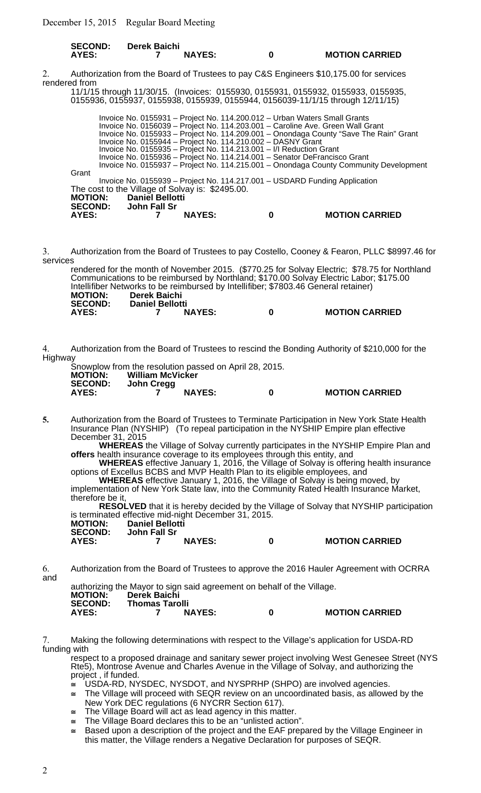| <b>SECOND:</b> | <b>Derek Baichi</b> |               |                       |
|----------------|---------------------|---------------|-----------------------|
| AYES:          |                     | <b>NAYES:</b> | <b>MOTION CARRIED</b> |

2. Authorization from the Board of Trustees to pay C&S Engineers \$10,175.00 for services rendered from

11/1/15 through 11/30/15. (Invoices: 0155930, 0155931, 0155932, 0155933, 0155935, 0155936, 0155937, 0155938, 0155939, 0155944, 0156039-11/1/15 through 12/11/15)

| <b>AYES:</b>   | SECOND: John Fall Sr                                                | <b>NAYES:</b> |  | <b>MOTION CARRIED</b>                                                                 |
|----------------|---------------------------------------------------------------------|---------------|--|---------------------------------------------------------------------------------------|
| <b>MOTION:</b> | <b>Daniel Bellotti</b>                                              |               |  |                                                                                       |
|                | The cost to the Village of Solvay is: \$2495.00.                    |               |  |                                                                                       |
|                |                                                                     |               |  | Invoice No. 0155939 - Project No. 114.217.001 - USDARD Funding Application            |
| Grant          |                                                                     |               |  |                                                                                       |
|                |                                                                     |               |  | Invoice No. 0155937 – Project No. 114.215.001 – Onondaga County Community Development |
|                |                                                                     |               |  | Invoice No. 0155936 - Project No. 114.214.001 - Senator DeFrancisco Grant             |
|                | Invoice No. 0155935 - Project No. 114.213.001 - I/I Reduction Grant |               |  |                                                                                       |
|                | Invoice No. 0155944 - Project No. 114.210.002 - DASNY Grant         |               |  |                                                                                       |
|                |                                                                     |               |  | Invoice No. 0155933 - Project No. 114.209.001 - Onondaga County "Save The Rain" Grant |
|                |                                                                     |               |  | Invoice No. 0156039 - Project No. 114.203.001 - Caroline Ave. Green Wall Grant        |
|                |                                                                     |               |  | Invoice No. 0155931 – Project No. 114.200.012 – Urban Waters Small Grants             |
|                |                                                                     |               |  |                                                                                       |

3. Authorization from the Board of Trustees to pay Costello, Cooney & Fearon, PLLC \$8997.46 for services

rendered for the month of November 2015. (\$770.25 for Solvay Electric; \$78.75 for Northland Communications to be reimbursed by Northland; \$170.00 Solvay Electric Labor; \$175.00 Intellifiber Networks to be reimbursed by Intellifiber; \$7803.46 General retainer) **MOTION: Derek Baichi SECOND: Daniel Bellotti AYES: 7 NAYES: 0 MOTION CARRIED**

4. Authorization from the Board of Trustees to rescind the Bonding Authority of \$210,000 for the Highway

Snowplow from the resolution passed on April 28, 2015.<br>MOTION: William McVicker **MOTION: William McVicker SECOND: John Cregg**

**AYES: 7 NAYES: 0 MOTION CARRIED**

**5.** Authorization from the Board of Trustees to Terminate Participation in New York State Health Insurance Plan (NYSHIP) (To repeal participation in the NYSHIP Empire plan effective December 31, 2015

**WHEREAS** the Village of Solvay currently participates in the NYSHIP Empire Plan and **offers** health insurance coverage to its employees through this entity, and

**WHEREAS** effective January 1, 2016, the Village of Solvay is offering health insurance options of Excellus BCBS and MVP Health Plan to its eligible employees, and

**WHEREAS** effective January 1, 2016, the Village of Solvay is being moved, by implementation of New York State law, into the Community Rated Health Insurance Market, therefore be it,

**RESOLVED** that it is hereby decided by the Village of Solvay that NYSHIP participation is terminated effective mid-night December 31, 2015.

| <b>MOTION:</b> | <b>Daniel Bellotti</b> |   |                       |
|----------------|------------------------|---|-----------------------|
| <b>SECOND:</b> | John Fall Sr           |   |                       |
| AYES:          | <b>NAYES:</b>          | 0 | <b>MOTION CARRIED</b> |

6. Authorization from the Board of Trustees to approve the 2016 Hauler Agreement with OCRRA and

|                |                       |               | authorizing the Mayor to sign said agreement on behalf of the Village. |                       |
|----------------|-----------------------|---------------|------------------------------------------------------------------------|-----------------------|
| <b>MOTION:</b> | <b>Derek Baichi</b>   |               |                                                                        |                       |
| <b>SECOND:</b> | <b>Thomas Tarolli</b> |               |                                                                        |                       |
| AYES:          |                       | <b>NAYES:</b> | n                                                                      | <b>MOTION CARRIED</b> |

7. Making the following determinations with respect to the Village's application for USDA-RD funding with

respect to a proposed drainage and sanitary sewer project involving West Genesee Street (NYS Rte5), Montrose Avenue and Charles Avenue in the Village of Solvay, and authorizing the project , if funded.

USDA-RD, NYSDEC, NYSDOT, and NYSPRHP (SHPO) are involved agencies.

- $\le$  The Village will proceed with SEQR review on an uncoordinated basis, as allowed by the New York DEC regulations (6 NYCRR Section 617).
- The Village Board will act as lead agency in this matter.
- $\equiv$  The Village Board declares this to be an "unlisted action".
- $\leq$  Based upon a description of the project and the EAF prepared by the Village Engineer in this matter, the Village renders a Negative Declaration for purposes of SEQR.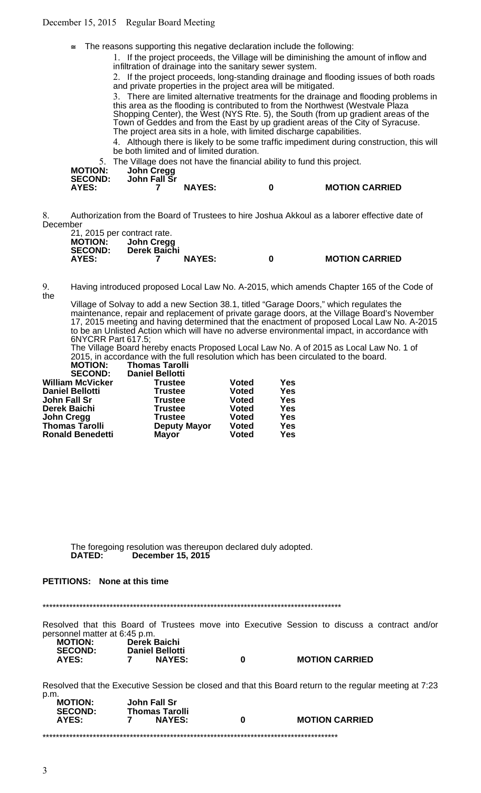December 15, 2015 Regular Board Meeting

 $\equiv$  The reasons supporting this negative declaration include the following:

1. If the project proceeds, the Village will be diminishing the amount of inflow and infiltration of drainage into the sanitary sewer system.

2. If the project proceeds, long-standing drainage and flooding issues of both roads and private properties in the project area will be mitigated.

3. There are limited alternative treatments for the drainage and flooding problems in this area as the flooding is contributed to from the Northwest (Westvale Plaza Shopping Center), the West (NYS Rte. 5), the South (from up gradient areas of the Town of Geddes and from the East by up gradient areas of the City of Syracuse. The project area sits in a hole, with limited discharge capabilities.

4. Although there is likely to be some traffic impediment during construction, this will be both limited and of limited duration.

5. The Village does not have the financial ability to fund this project.

| <b>MOTION:</b><br><b>SECOND:</b> | John Cregg<br>John Fall Sr |               | the community of the contract of the contract contract of the contract of the property of the contract of the |
|----------------------------------|----------------------------|---------------|---------------------------------------------------------------------------------------------------------------|
| AYES:                            |                            | <b>NAYES:</b> | <b>MOTION CARRIED</b>                                                                                         |

8. Authorization from the Board of Trustees to hire Joshua Akkoul as a laborer effective date of December

|                | 21, 2015 per contract rate. |               |   |                       |
|----------------|-----------------------------|---------------|---|-----------------------|
| <b>MOTION:</b> | John Cregg                  |               |   |                       |
| <b>SECOND:</b> | Derek Baichi                |               |   |                       |
| AYES:          |                             | <b>NAYES:</b> | n | <b>MOTION CARRIED</b> |

9. Having introduced proposed Local Law No. A-2015, which amends Chapter 165 of the Code of the

Village of Solvay to add a new Section 38.1, titled "Garage Doors," which regulates the maintenance, repair and replacement of private garage doors, at the Village Board's November 17, 2015 meeting and having determined that the enactment of proposed Local Law No. A-2015 to be an Unlisted Action which will have no adverse environmental impact, in accordance with 6NYCRR Part 617.5;

The Village Board hereby enacts Proposed Local Law No. A of 2015 as Local Law No. 1 of 2015, in accordance with the full resolution which has been circulated to the board.

| <b>Thomas Tarolli</b>               |            |
|-------------------------------------|------------|
|                                     |            |
| <b>Voted</b>                        | Yes        |
| <b>Voted</b>                        | <b>Yes</b> |
| <b>Voted</b>                        | <b>Yes</b> |
| <b>Voted</b>                        | <b>Yes</b> |
| <b>Voted</b>                        | Yes        |
| <b>Voted</b><br><b>Deputy Mayor</b> | <b>Yes</b> |
| <b>Voted</b>                        | <b>Yes</b> |
|                                     |            |

The foregoing resolution was thereupon declared duly adopted.<br> **DATED:** December 15, 2015 **December 15, 2015** 

# **PETITIONS: None at this time**

\*\*\*\*\*\*\*\*\*\*\*\*\*\*\*\*\*\*\*\*\*\*\*\*\*\*\*\*\*\*\*\*\*\*\*\*\*\*\*\*\*\*\*\*\*\*\*\*\*\*\*\*\*\*\*\*\*\*\*\*\*\*\*\*\*\*\*\*\*\*\*\*\*\*\*\*\*\*\*\*\*\*\*\*\*\*\*\*\*

Resolved that this Board of Trustees move into Executive Session to discuss a contract and/or personnel matter at 6:45 p.m.

| <b>MOTION:</b> | <b>Derek Baichi</b>    |  |
|----------------|------------------------|--|
| <b>SECOND:</b> | <b>Daniel Bellotti</b> |  |
| AYES:          | <b>NAYES:</b><br>7     |  |

**AYES: 7 NAYES: 0 MOTION CARRIED**

Resolved that the Executive Session be closed and that this Board return to the regular meeting at 7:23 p.m.

| <b>MOTION:</b><br><b>SECOND:</b> | John Fall Sr<br><b>Thomas Tarolli</b> |   |                       |
|----------------------------------|---------------------------------------|---|-----------------------|
| <b>AYES:</b>                     | <b>NAYES:</b>                         | n | <b>MOTION CARRIED</b> |
|                                  |                                       |   |                       |